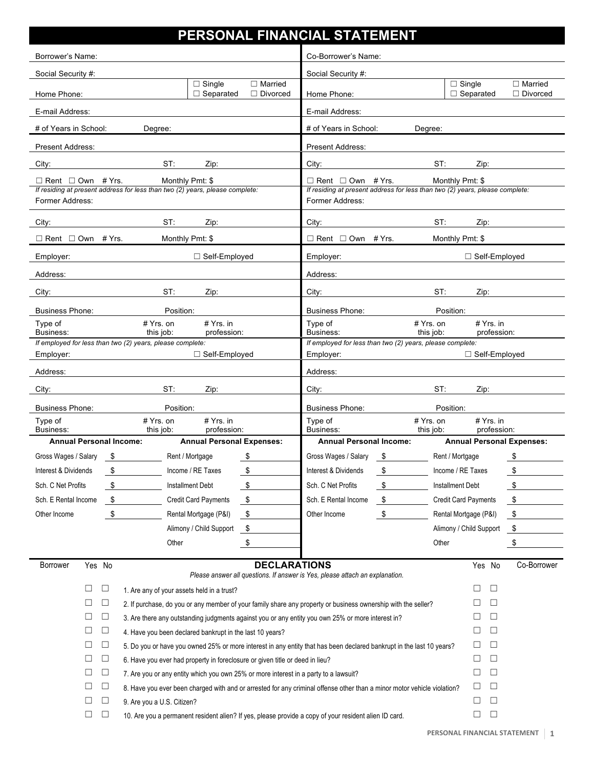| PERSONAL FINANCIAL STATEMENT                                                                                                                        |        |        |                                                                                                                         |                     |                                                                                                                                                     |    |                                              |                                                 |               |
|-----------------------------------------------------------------------------------------------------------------------------------------------------|--------|--------|-------------------------------------------------------------------------------------------------------------------------|---------------------|-----------------------------------------------------------------------------------------------------------------------------------------------------|----|----------------------------------------------|-------------------------------------------------|---------------|
| Borrower's Name:                                                                                                                                    |        |        |                                                                                                                         |                     | Co-Borrower's Name:                                                                                                                                 |    |                                              |                                                 |               |
| Social Security #:                                                                                                                                  |        |        |                                                                                                                         |                     | Social Security #:                                                                                                                                  |    |                                              |                                                 |               |
| $\overline{\Box}$ Single<br>$\Box$ Married<br>$\Box$ Separated<br>$\Box$ Divorced<br>Home Phone:                                                    |        |        |                                                                                                                         | Home Phone:         |                                                                                                                                                     |    | $\overline{\Box}$ Single<br>$\Box$ Separated | $\Box$ Married<br>$\Box$ Divorced               |               |
| E-mail Address:                                                                                                                                     |        |        |                                                                                                                         |                     | E-mail Address:                                                                                                                                     |    |                                              |                                                 |               |
| # of Years in School:                                                                                                                               |        |        | Degree:                                                                                                                 |                     | # of Years in School:<br>Degree:                                                                                                                    |    |                                              |                                                 |               |
| Present Address:                                                                                                                                    |        |        |                                                                                                                         |                     | <b>Present Address:</b>                                                                                                                             |    |                                              |                                                 |               |
| City:                                                                                                                                               |        |        | ST:<br>Zip:                                                                                                             |                     | City:                                                                                                                                               |    | ST:                                          | Zip:                                            |               |
| $\Box$ Rent $\Box$ Own # Yrs.<br>Monthly Pmt: \$<br>If residing at present address for less than two (2) years, please complete:<br>Former Address: |        |        |                                                                                                                         |                     | $\Box$ Rent $\Box$ Own # Yrs.<br>Monthly Pmt: \$<br>If residing at present address for less than two (2) years, please complete:<br>Former Address: |    |                                              |                                                 |               |
| City:                                                                                                                                               |        |        | ST:<br>Zip:                                                                                                             |                     | City:                                                                                                                                               |    | ST:                                          | Zip:                                            |               |
| $\Box$ Rent $\Box$ Own # Yrs.                                                                                                                       |        |        | Monthly Pmt: \$                                                                                                         |                     | $\Box$ Rent $\Box$ Own # Yrs.                                                                                                                       |    | Monthly Pmt: \$                              |                                                 |               |
| Employer:                                                                                                                                           |        |        | □ Self-Employed                                                                                                         |                     | □ Self-Employed<br>Employer:                                                                                                                        |    |                                              |                                                 |               |
| Address:                                                                                                                                            |        |        |                                                                                                                         |                     | Address:                                                                                                                                            |    |                                              |                                                 |               |
| City:                                                                                                                                               |        |        | ST:<br>Zip:                                                                                                             |                     | City:                                                                                                                                               |    | ST:                                          | Zip:                                            |               |
| <b>Business Phone:</b>                                                                                                                              |        |        | Position:                                                                                                               |                     | <b>Business Phone:</b>                                                                                                                              |    | Position:                                    |                                                 |               |
| # Yrs. on<br>$# Yrs.$ in<br>Type of<br>this job:<br>profession:<br>Business:                                                                        |        |        |                                                                                                                         |                     | Type of<br>Business:                                                                                                                                |    | # Yrs. on<br>this job:                       | $# Yrs.$ in<br>profession:                      |               |
|                                                                                                                                                     |        |        | If employed for less than two (2) years, please complete:                                                               |                     | If employed for less than two (2) years, please complete:<br>□ Self-Employed                                                                        |    |                                              |                                                 |               |
| Employer:                                                                                                                                           |        |        | □ Self-Employed                                                                                                         |                     | Employer:                                                                                                                                           |    |                                              |                                                 |               |
| Address:                                                                                                                                            |        |        |                                                                                                                         |                     | Address:                                                                                                                                            |    |                                              |                                                 |               |
| City:                                                                                                                                               |        |        | ST:<br>Zip:<br>Position:                                                                                                |                     | City:                                                                                                                                               |    | ST:                                          | Zip:                                            |               |
| <b>Business Phone:</b><br>Type of                                                                                                                   |        |        | # Yrs. on<br>$# Yrs.$ in                                                                                                |                     | <b>Business Phone:</b><br>Type of                                                                                                                   |    | Position:<br># Yrs. on                       | $# Yrs.$ in                                     |               |
| Business:<br><b>Annual Personal Income:</b>                                                                                                         |        |        | this job:<br>profession:<br><b>Annual Personal Expenses:</b>                                                            |                     | Business:<br><b>Annual Personal Income:</b>                                                                                                         |    | this job:                                    | profession:<br><b>Annual Personal Expenses:</b> |               |
|                                                                                                                                                     |        | \$     | Rent / Mortgage                                                                                                         | \$                  | Gross Wages / Salary                                                                                                                                | \$ | Rent / Mortgage                              |                                                 | \$            |
| Gross Wages / Salary<br>Interest & Dividends                                                                                                        |        | \$     | Income / RE Taxes                                                                                                       | \$                  | Interest & Dividends                                                                                                                                | \$ | Income / RE Taxes                            |                                                 | \$            |
| Sch. C Net Profits                                                                                                                                  |        | \$     | <b>Installment Debt</b>                                                                                                 | $\frac{1}{2}$       | Sch. C Net Profits                                                                                                                                  | \$ | <b>Installment Debt</b>                      |                                                 | \$            |
| Sch. E Rental Income                                                                                                                                |        | - \$   | <b>Credit Card Payments</b>                                                                                             | $\frac{1}{2}$       | Sch. E Rental Income                                                                                                                                | \$ |                                              | <b>Credit Card Payments</b>                     | \$            |
| Other Income                                                                                                                                        |        | \$     | Rental Mortgage (P&I)                                                                                                   | \$                  | Other Income                                                                                                                                        | \$ |                                              | Rental Mortgage (P&I)                           | \$            |
|                                                                                                                                                     |        |        | Alimony / Child Support                                                                                                 | \$                  |                                                                                                                                                     |    |                                              | Alimony / Child Support                         | - \$          |
|                                                                                                                                                     |        |        | Other                                                                                                                   | \$                  |                                                                                                                                                     |    | Other                                        |                                                 | $\frac{1}{2}$ |
|                                                                                                                                                     |        |        |                                                                                                                         |                     |                                                                                                                                                     |    |                                              |                                                 |               |
| <b>Borrower</b>                                                                                                                                     | Yes No |        |                                                                                                                         | <b>DECLARATIONS</b> | Please answer all questions. If answer is Yes, please attach an explanation.                                                                        |    |                                              | Yes No                                          | Co-Borrower   |
|                                                                                                                                                     | ⊔      | $\Box$ | 1. Are any of your assets held in a trust?                                                                              |                     |                                                                                                                                                     |    |                                              | $\Box$<br>$\Box$                                |               |
|                                                                                                                                                     | □      | $\Box$ | 2. If purchase, do you or any member of your family share any property or business ownership with the seller?           |                     |                                                                                                                                                     |    |                                              | Ш                                               |               |
|                                                                                                                                                     | $\Box$ | $\Box$ | 3. Are there any outstanding judgments against you or any entity you own 25% or more interest in?                       |                     | ⊔<br>$\Box$                                                                                                                                         |    |                                              |                                                 |               |
|                                                                                                                                                     | ⊔      | $\Box$ | 4. Have you been declared bankrupt in the last 10 years?                                                                |                     |                                                                                                                                                     |    |                                              | ⊔<br>⊔                                          |               |
|                                                                                                                                                     | Ц      | $\Box$ |                                                                                                                         |                     | $\Box$<br>⊔<br>5. Do you or have you owned 25% or more interest in any entity that has been declared bankrupt in the last 10 years?                 |    |                                              |                                                 |               |
|                                                                                                                                                     | $\Box$ | $\Box$ | 6. Have you ever had property in foreclosure or given title or deed in lieu?                                            |                     | $\Box$<br>$\Box$                                                                                                                                    |    |                                              |                                                 |               |
|                                                                                                                                                     | □      | $\Box$ | 7. Are you or any entity which you own 25% or more interest in a party to a lawsuit?                                    |                     |                                                                                                                                                     |    | □<br>□                                       |                                                 |               |
|                                                                                                                                                     | $\Box$ | $\Box$ | 8. Have you ever been charged with and or arrested for any criminal offense other than a minor motor vehicle violation? |                     |                                                                                                                                                     |    | $\Box$<br>⊔                                  |                                                 |               |
|                                                                                                                                                     | $\Box$ | $\Box$ | 9. Are you a U.S. Citizen?                                                                                              |                     |                                                                                                                                                     |    | ⊔<br>⊔                                       |                                                 |               |
| $\Box$<br>$\Box$<br>$\Box$<br>$\Box$<br>10. Are you a permanent resident alien? If yes, please provide a copy of your resident alien ID card.       |        |        |                                                                                                                         |                     |                                                                                                                                                     |    |                                              |                                                 |               |